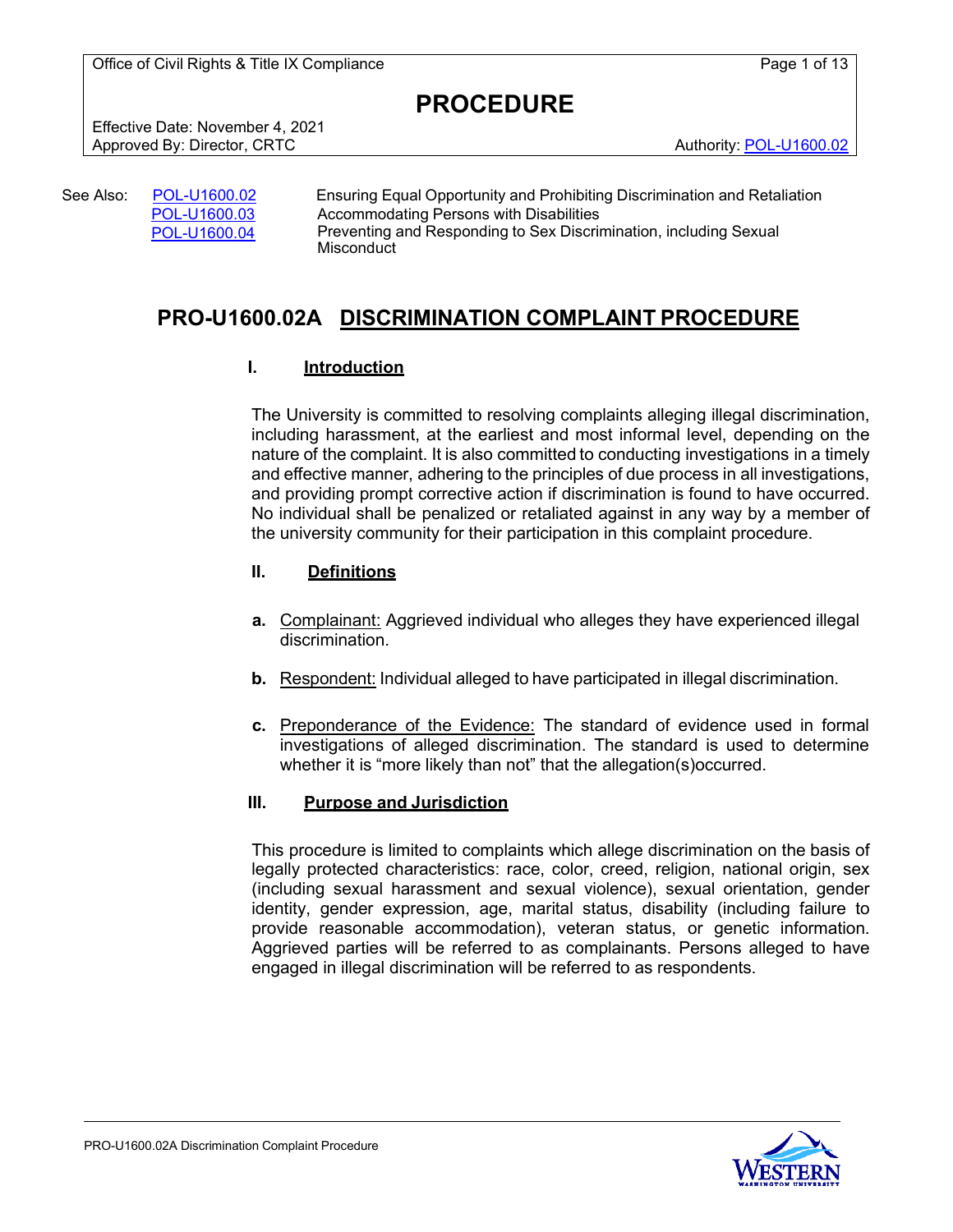Office of Civil Rights & Title IX Compliance **Page 1** of 13

**PROCEDURE**

Effective Date: November 4, 2021 Approved By: Director, CRTC Authority: [POL-U1600.02](https://policy.wwu.edu/POL-U1600.02-Ensuring-Equal-Opportunity-and-Prohibiting-Discrimination-and-Retaliation.pdf)

| See Also: . | POL-U1600.02 | <b>Ensuring Equal Opportunity and Prohibitir</b>      |
|-------------|--------------|-------------------------------------------------------|
|             | POL-U1600.03 | Accommodating Persons with Disabilities               |
|             | POL-U1600.04 | Preventing and Responding to Sex Discri<br>Micconduct |

rohibiting Discrimination and Retaliation x Discrimination, including Sexual Misconduct

## **PRO-U1600.02A DISCRIMINATION COMPLAINT PROCEDURE**

## **I. Introduction**

The University is committed to resolving complaints alleging illegal discrimination, including harassment, at the earliest and most informal level, depending on the nature of the complaint. It is also committed to conducting investigations in a timely and effective manner, adhering to the principles of due process in all investigations, and providing prompt corrective action if discrimination is found to have occurred. No individual shall be penalized or retaliated against in any way by a member of the university community for their participation in this complaint procedure.

## **II. Definitions**

- **a.** Complainant: Aggrieved individual who alleges they have experienced illegal discrimination.
- **b.** Respondent: Individual alleged to have participated in illegal discrimination.
- **c.** Preponderance of the Evidence: The standard of evidence used in formal investigations of alleged discrimination. The standard is used to determine whether it is "more likely than not" that the allegation(s)occurred.

### **III. Purpose and Jurisdiction**

This procedure is limited to complaints which allege discrimination on the basis of legally protected characteristics: race, color, creed, religion, national origin, sex (including sexual harassment and sexual violence), sexual orientation, gender identity, gender expression, age, marital status, disability (including failure to provide reasonable accommodation), veteran status, or genetic information. Aggrieved parties will be referred to as complainants. Persons alleged to have engaged in illegal discrimination will be referred to as respondents.

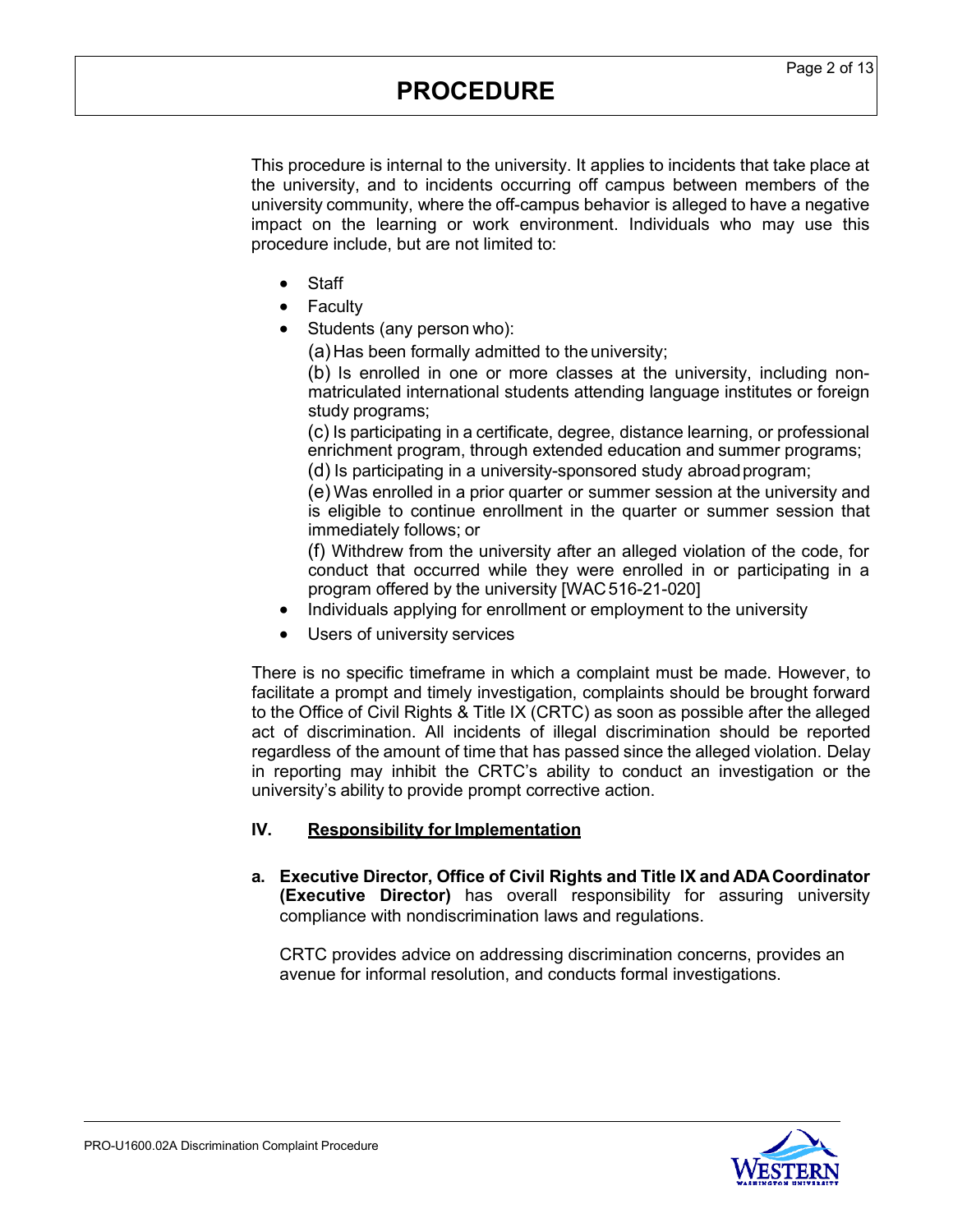This procedure is internal to the university. It applies to incidents that take place at the university, and to incidents occurring off campus between members of the university community, where the off-campus behavior is alleged to have a negative impact on the learning or work environment. Individuals who may use this procedure include, but are not limited to:

- **Staff**
- **Faculty**
- Students (any person who):

(a)Has been formally admitted to the university;

(b) Is enrolled in one or more classes at the university, including nonmatriculated international students attending language institutes or foreign study programs;

(c) Is participating in a certificate, degree, distance learning, or professional enrichment program, through extended education and summer programs;

(d) Is participating in a university-sponsored study abroadprogram;

(e) Was enrolled in a prior quarter or summer session at the university and is eligible to continue enrollment in the quarter or summer session that immediately follows; or

(f) Withdrew from the university after an alleged violation of the code, for conduct that occurred while they were enrolled in or participating in a program offered by the university [WAC516-21-020]

- Individuals applying for enrollment or employment to the university
- Users of university services

There is no specific timeframe in which a complaint must be made. However, to facilitate a prompt and timely investigation, complaints should be brought forward to the Office of Civil Rights & Title IX (CRTC) as soon as possible after the alleged act of discrimination. All incidents of illegal discrimination should be reported regardless of the amount of time that has passed since the alleged violation. Delay in reporting may inhibit the CRTC's ability to conduct an investigation or the university's ability to provide prompt corrective action.

### **IV. Responsibility for Implementation**

**a. Executive Director, Office of Civil Rights and Title IX and ADACoordinator (Executive Director)** has overall responsibility for assuring university compliance with nondiscrimination laws and regulations.

CRTC provides advice on addressing discrimination concerns, provides an avenue for informal resolution, and conducts formal investigations.

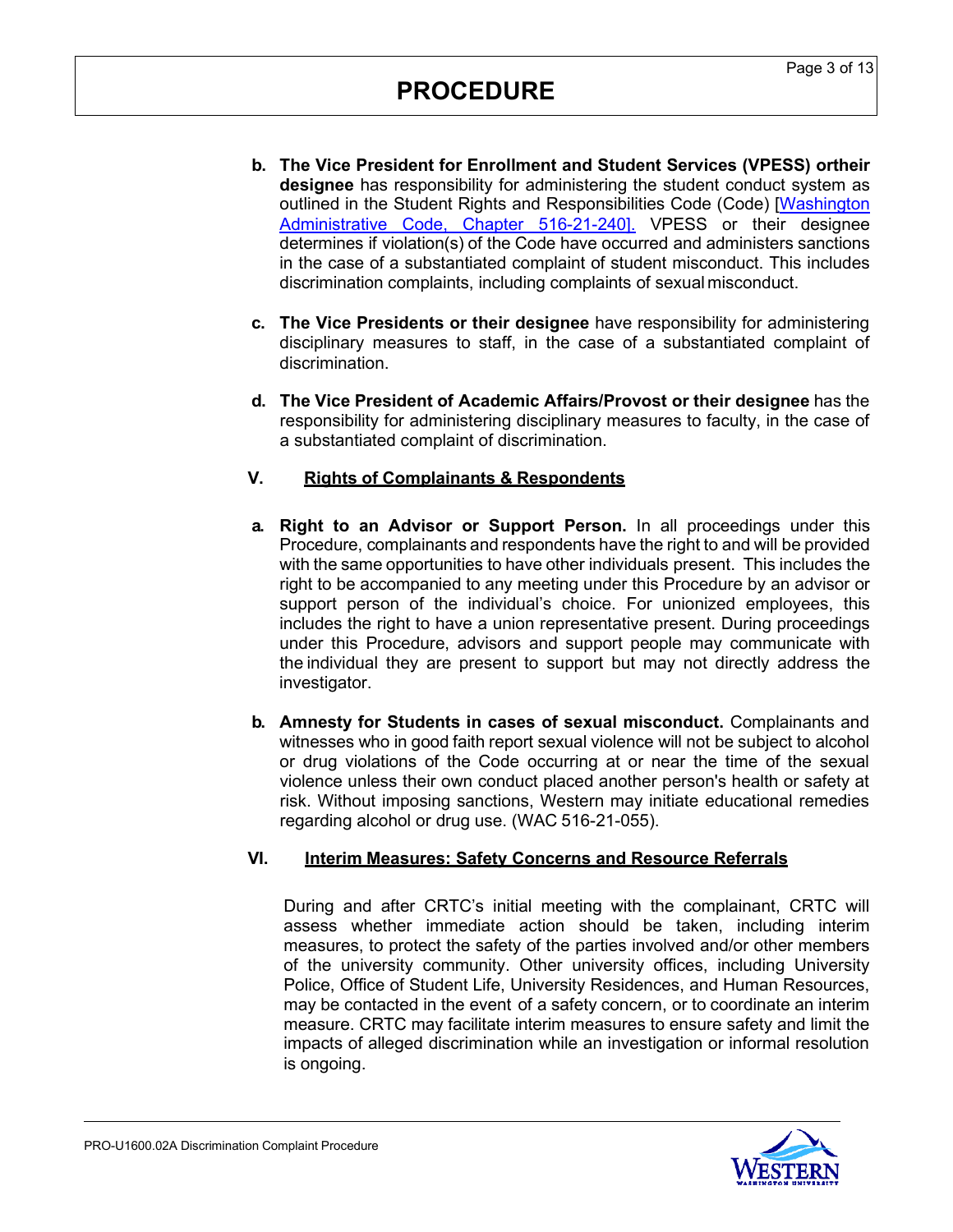- **b. The Vice President for Enrollment and Student Services (VPESS) ortheir designee** has responsibility for administering the student conduct system as outlined in the Student Rights and Responsibilities Code (Code) [\[Washington](http://apps.leg.wa.gov/wac/default.aspx?cite=516-21&%3Bamp%3Bfull=true&%3Bamp%3B516-21-240) [Administrative](http://apps.leg.wa.gov/wac/default.aspx?cite=516-21&%3Bamp%3Bfull=true&%3Bamp%3B516-21-240) Code, Chapter 516-21-240]. VPESS or their designee determines if violation(s) of the Code have occurred and administers sanctions in the case of a substantiated complaint of student misconduct. This includes discrimination complaints, including complaints of sexual misconduct.
- **c. The Vice Presidents or their designee** have responsibility for administering disciplinary measures to staff, in the case of a substantiated complaint of discrimination.
- **d. The Vice President of Academic Affairs/Provost or their designee** has the responsibility for administering disciplinary measures to faculty, in the case of a substantiated complaint of discrimination.

## **V. Rights of Complainants & Respondents**

- **a. Right to an Advisor or Support Person.** In all proceedings under this Procedure, complainants and respondents have the right to and will be provided with the same opportunities to have other individuals present. This includes the right to be accompanied to any meeting under this Procedure by an advisor or support person of the individual's choice. For unionized employees, this includes the right to have a union representative present. During proceedings under this Procedure, advisors and support people may communicate with the individual they are present to support but may not directly address the investigator.
- **b. Amnesty for Students in cases of sexual misconduct.** Complainants and witnesses who in good faith report sexual violence will not be subject to alcohol or drug violations of the Code occurring at or near the time of the sexual violence unless their own conduct placed another person's health or safety at risk. Without imposing sanctions, Western may initiate educational remedies regarding alcohol or drug use. (WAC 516-21-055).

### **VI. Interim Measures: Safety Concerns and Resource Referrals**

During and after CRTC's initial meeting with the complainant, CRTC will assess whether immediate action should be taken, including interim measures, to protect the safety of the parties involved and/or other members of the university community. Other university offices, including University Police, Office of Student Life, University Residences, and Human Resources, may be contacted in the event of a safety concern, or to coordinate an interim measure. CRTC may facilitate interim measures to ensure safety and limit the impacts of alleged discrimination while an investigation or informal resolution is ongoing.

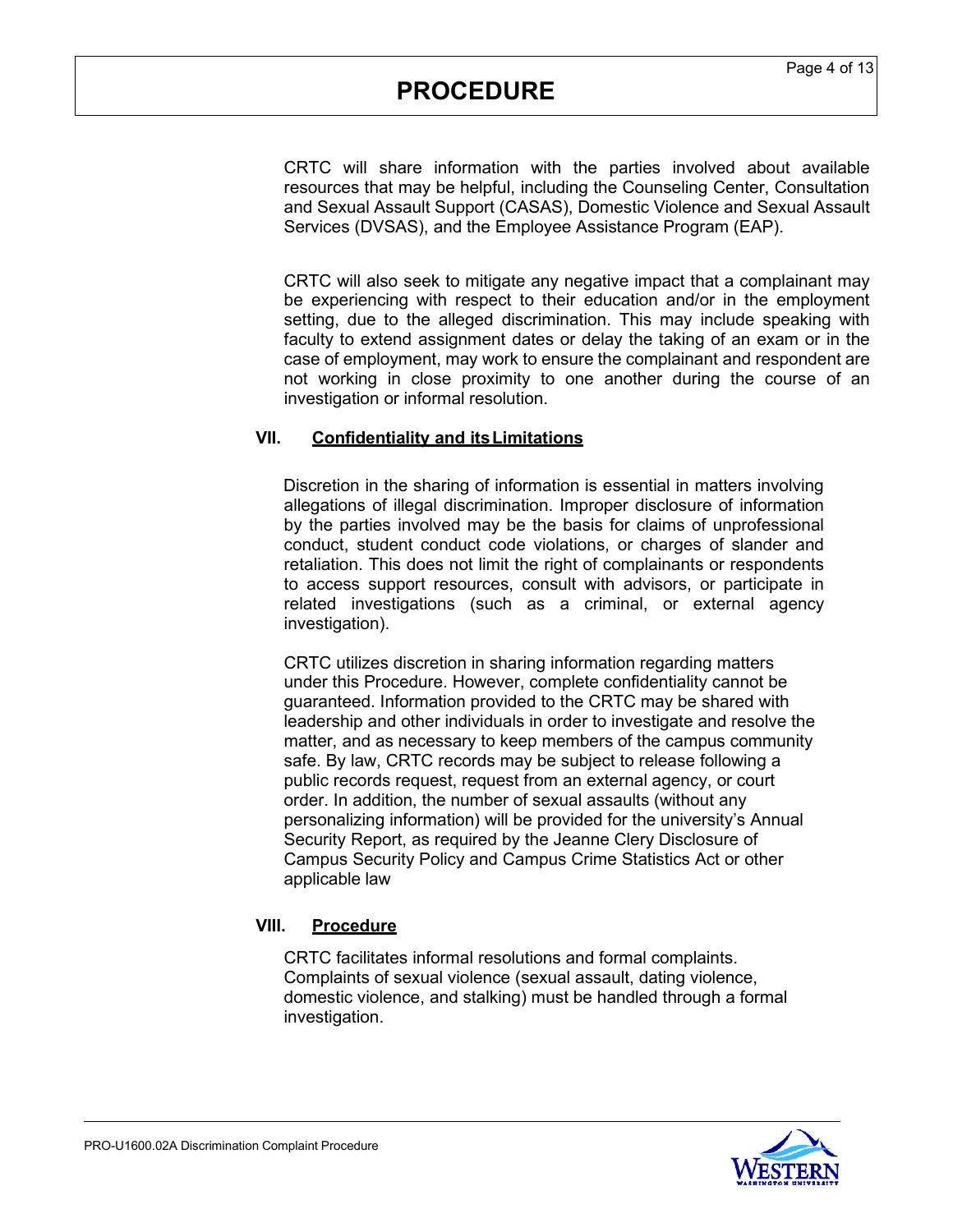CRTC will share information with the parties involved about available resources that may be helpful, including the Counseling Center, Consultation and Sexual Assault Support (CASAS), Domestic Violence and Sexual Assault Services (DVSAS), and the Employee Assistance Program (EAP).

CRTC will also seek to mitigate any negative impact that a complainant may be experiencing with respect to their education and/or in the employment setting, due to the alleged discrimination. This may include speaking with faculty to extend assignment dates or delay the taking of an exam or in the case of employment, may work to ensure the complainant and respondent are not working in close proximity to one another during the course of an investigation or informal resolution.

## **VII. Confidentiality and itsLimitations**

Discretion in the sharing of information is essential in matters involving allegations of illegal discrimination. Improper disclosure of information by the parties involved may be the basis for claims of unprofessional conduct, student conduct code violations, or charges of slander and retaliation. This does not limit the right of complainants or respondents to access support resources, consult with advisors, or participate in related investigations (such as a criminal, or external agency investigation).

CRTC utilizes discretion in sharing information regarding matters under this Procedure. However, complete confidentiality cannot be guaranteed. Information provided to the CRTC may be shared with leadership and other individuals in order to investigate and resolve the matter, and as necessary to keep members of the campus community safe. By law, CRTC records may be subject to release following a public records request, request from an external agency, or court order. In addition, the number of sexual assaults (without any personalizing information) will be provided for the university's Annual Security Report, as required by the Jeanne Clery Disclosure of Campus Security Policy and Campus Crime Statistics Act or other applicable law

## **VIII. Procedure**

CRTC facilitates informal resolutions and formal complaints. Complaints of sexual violence (sexual assault, dating violence, domestic violence, and stalking) must be handled through a formal investigation.

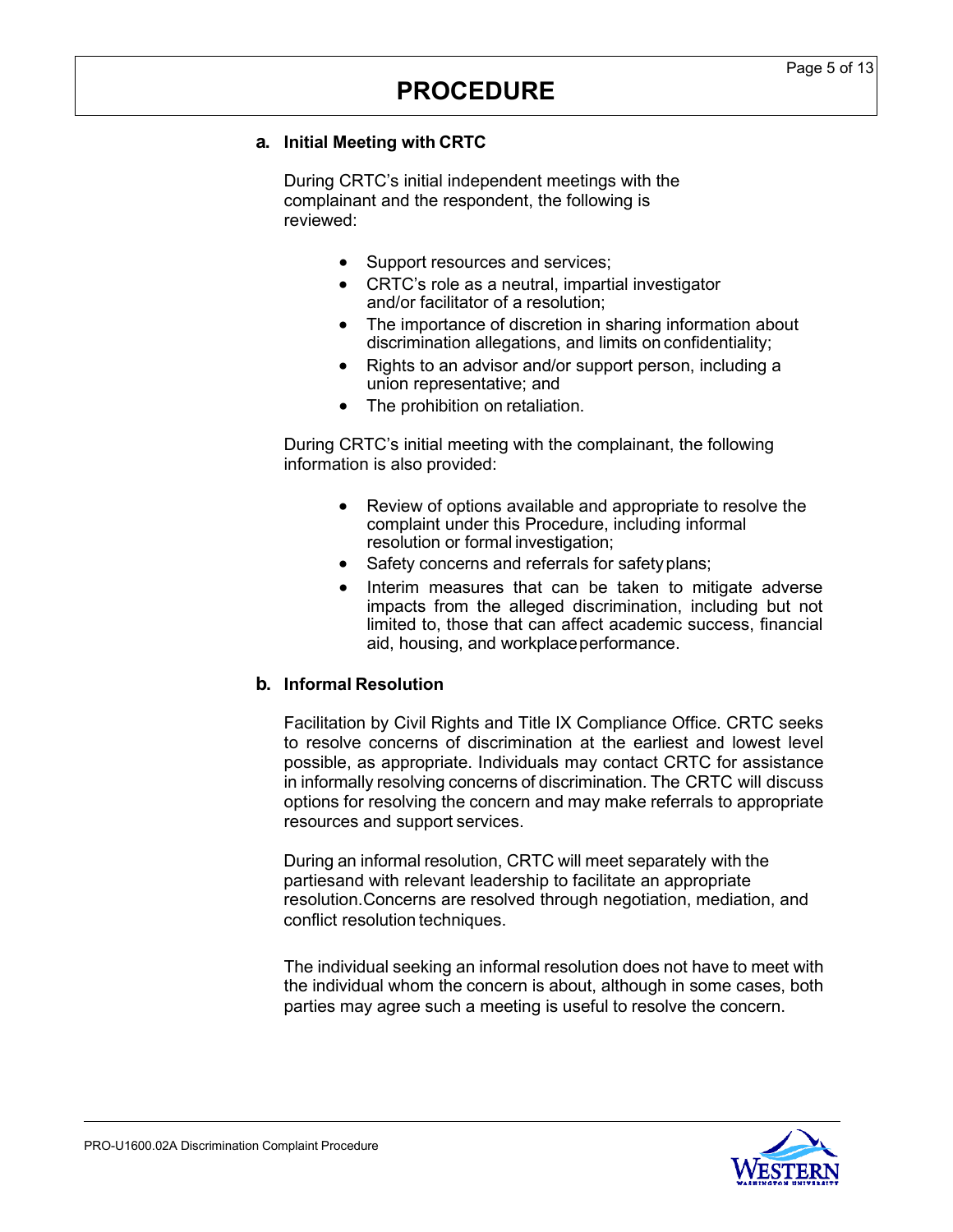#### **a. Initial Meeting with CRTC**

During CRTC's initial independent meetings with the complainant and the respondent, the following is reviewed:

- Support resources and services;
- CRTC's role as a neutral, impartial investigator and/or facilitator of a resolution;
- The importance of discretion in sharing information about discrimination allegations, and limits on confidentiality;
- Rights to an advisor and/or support person, including a union representative; and
- The prohibition on retaliation.

During CRTC's initial meeting with the complainant, the following information is also provided:

- Review of options available and appropriate to resolve the complaint under this Procedure, including informal resolution or formal investigation;
- Safety concerns and referrals for safety plans;
- Interim measures that can be taken to mitigate adverse impacts from the alleged discrimination, including but not limited to, those that can affect academic success, financial aid, housing, and workplace performance.

### **b. Informal Resolution**

Facilitation by Civil Rights and Title IX Compliance Office. CRTC seeks to resolve concerns of discrimination at the earliest and lowest level possible, as appropriate. Individuals may contact CRTC for assistance in informally resolving concerns of discrimination. The CRTC will discuss options for resolving the concern and may make referrals to appropriate resources and support services.

During an informal resolution, CRTC will meet separately with the partiesand with relevant leadership to facilitate an appropriate resolution.Concerns are resolved through negotiation, mediation, and conflict resolution techniques.

The individual seeking an informal resolution does not have to meet with the individual whom the concern is about, although in some cases, both parties may agree such a meeting is useful to resolve the concern.

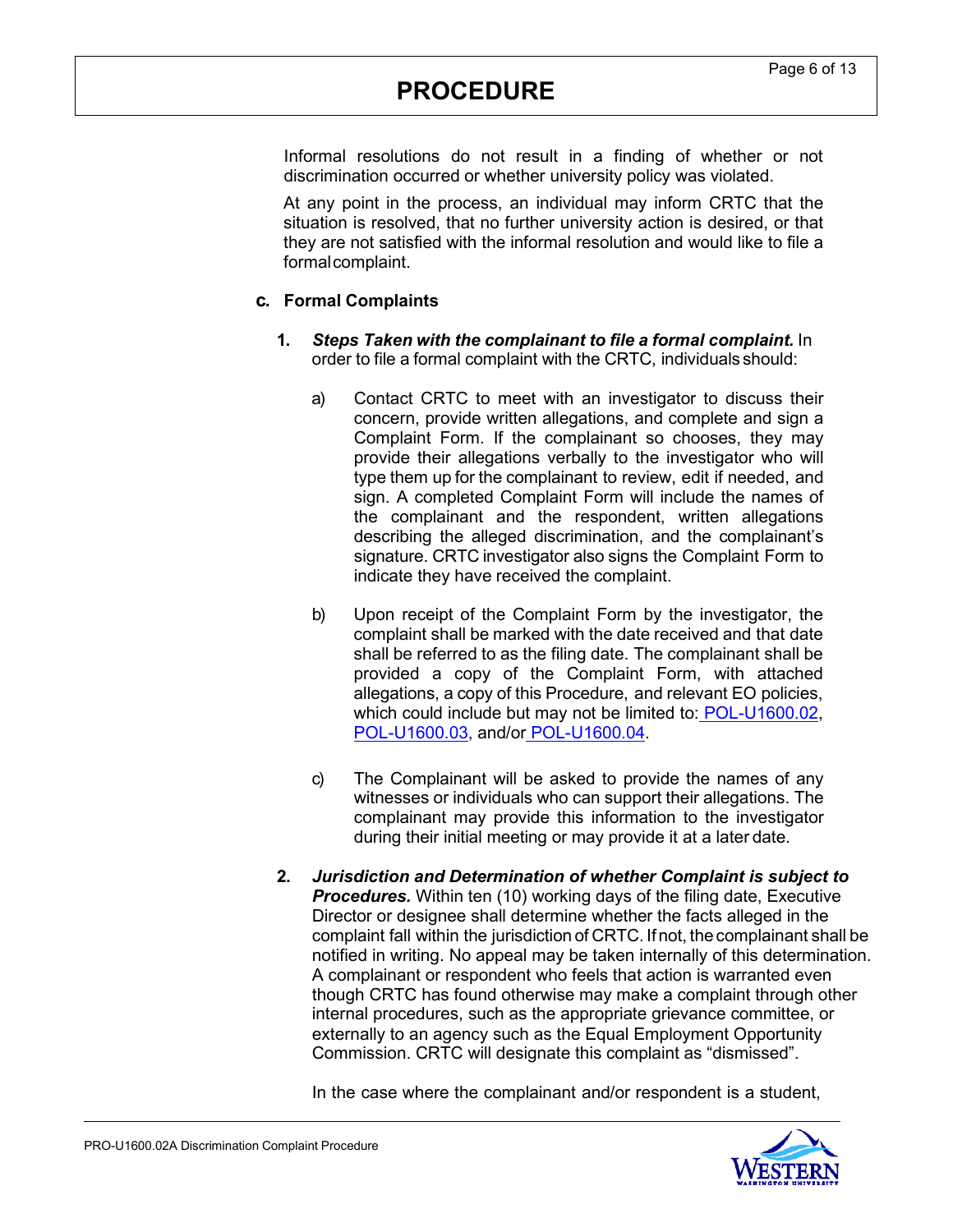Informal resolutions do not result in a finding of whether or not discrimination occurred or whether university policy was violated.

At any point in the process, an individual may inform CRTC that the situation is resolved, that no further university action is desired, or that they are not satisfied with the informal resolution and would like to file a formalcomplaint.

### **c. Formal Complaints**

- **1.** *Steps Taken with the complainant to file a formal complaint.* In order to file a formal complaint with the CRTC, individuals should:
	- a) Contact CRTC to meet with an investigator to discuss their concern, provide written allegations, and complete and sign a Complaint Form. If the complainant so chooses, they may provide their allegations verbally to the investigator who will type them up for the complainant to review, edit if needed, and sign. A completed Complaint Form will include the names of the complainant and the respondent, written allegations describing the alleged discrimination, and the complainant's signature. CRTC investigator also signs the Complaint Form to indicate they have received the complaint.
	- b) Upon receipt of the Complaint Form by the investigator, the complaint shall be marked with the date received and that date shall be referred to as the filing date. The complainant shall be provided a copy of the Complaint Form, with attached allegations, a copy of this Procedure, and relevant EO policies, which could include but may not be limited to: [POL-U1600.02,](https://policy.wwu.edu/POL-U1600.02-Ensuring-Equal-Opportunity-and-Prohibiting-Discrimination-and-Retaliation.pdf) [POL-U1600.03,](https://policy.wwu.edu/POL-U1600.02-Ensuring-Equal-Opportunity-and-Prohibiting-Discrimination-and-Retaliation.pdf) and/or [POL-U1600.04.](https://policy.wwu.edu/POL-U1600.04-Preventing-and-Responding-to-Sex-Discrimination-Including-Sexual-Misconduct.pdf)
	- c) The Complainant will be asked to provide the names of any witnesses or individuals who can support their allegations. The complainant may provide this information to the investigator during their initial meeting or may provide it at a later date.
- **2.** *Jurisdiction and Determination of whether Complaint is subject to* **Procedures.** Within ten (10) working days of the filing date, Executive Director or designee shall determine whether the facts alleged in the complaint fall within the jurisdiction of CRTC. Ifnot, the complainant shall be notified in writing. No appeal may be taken internally of this determination. A complainant or respondent who feels that action is warranted even though CRTC has found otherwise may make a complaint through other internal procedures, such as the appropriate grievance committee, or externally to an agency such as the Equal Employment Opportunity Commission. CRTC will designate this complaint as "dismissed".

In the case where the complainant and/or respondent is a student,

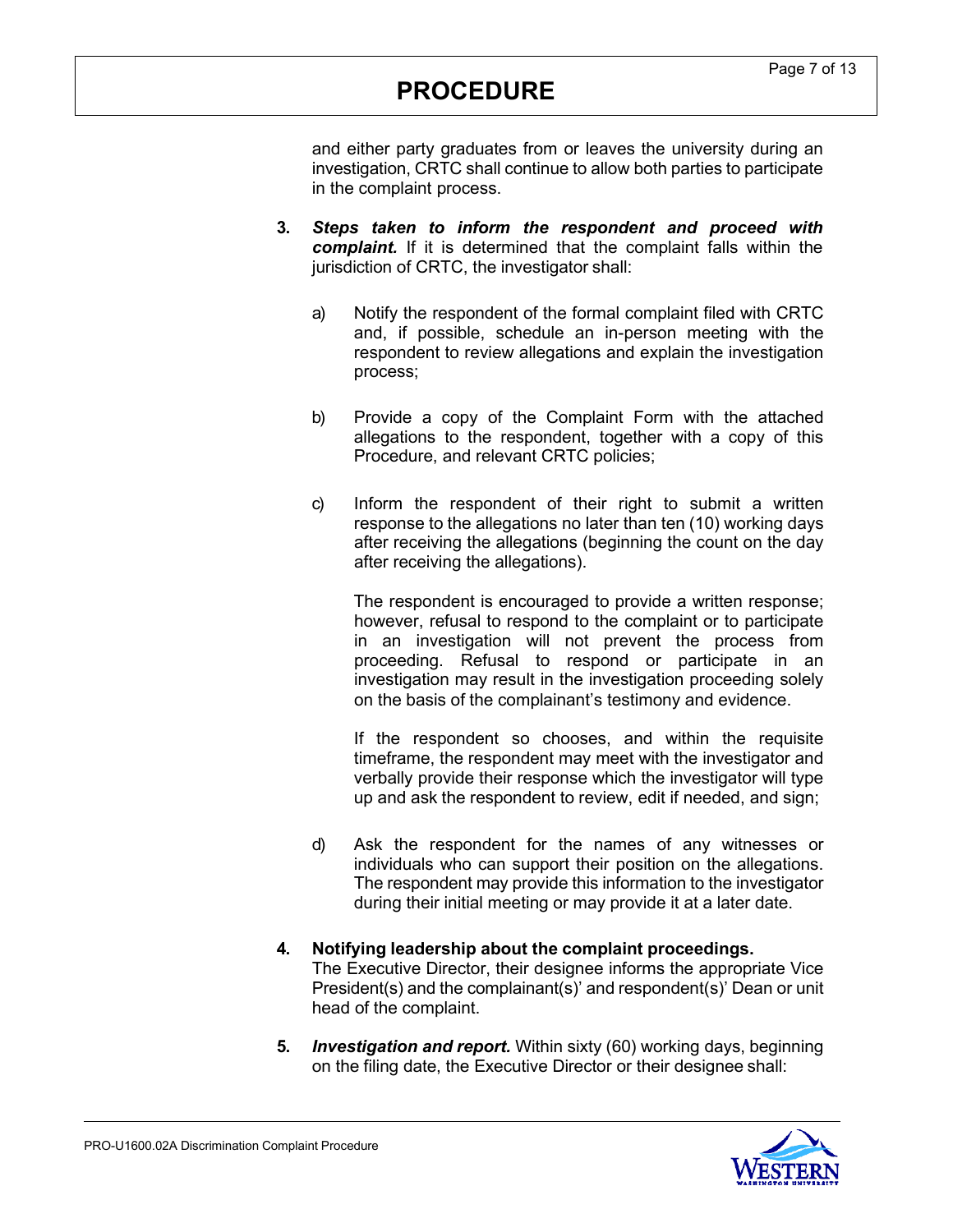and either party graduates from or leaves the university during an investigation, CRTC shall continue to allow both parties to participate in the complaint process.

- **3.** *Steps taken to inform the respondent and proceed with complaint.* If it is determined that the complaint falls within the jurisdiction of CRTC, the investigator shall:
	- a) Notify the respondent of the formal complaint filed with CRTC and, if possible, schedule an in-person meeting with the respondent to review allegations and explain the investigation process;
	- b) Provide a copy of the Complaint Form with the attached allegations to the respondent, together with a copy of this Procedure, and relevant CRTC policies;
	- c) Inform the respondent of their right to submit a written response to the allegations no later than ten (10) working days after receiving the allegations (beginning the count on the day after receiving the allegations).

The respondent is encouraged to provide a written response; however, refusal to respond to the complaint or to participate in an investigation will not prevent the process from proceeding. Refusal to respond or participate in an investigation may result in the investigation proceeding solely on the basis of the complainant's testimony and evidence.

If the respondent so chooses, and within the requisite timeframe, the respondent may meet with the investigator and verbally provide their response which the investigator will type up and ask the respondent to review, edit if needed, and sign;

- d) Ask the respondent for the names of any witnesses or individuals who can support their position on the allegations. The respondent may provide this information to the investigator during their initial meeting or may provide it at a later date.
- **4. Notifying leadership about the complaint proceedings.** The Executive Director, their designee informs the appropriate Vice President(s) and the complainant(s)' and respondent(s)' Dean or unit head of the complaint.
- **5.** *Investigation and report.* Within sixty (60) working days, beginning on the filing date, the Executive Director or their designee shall:

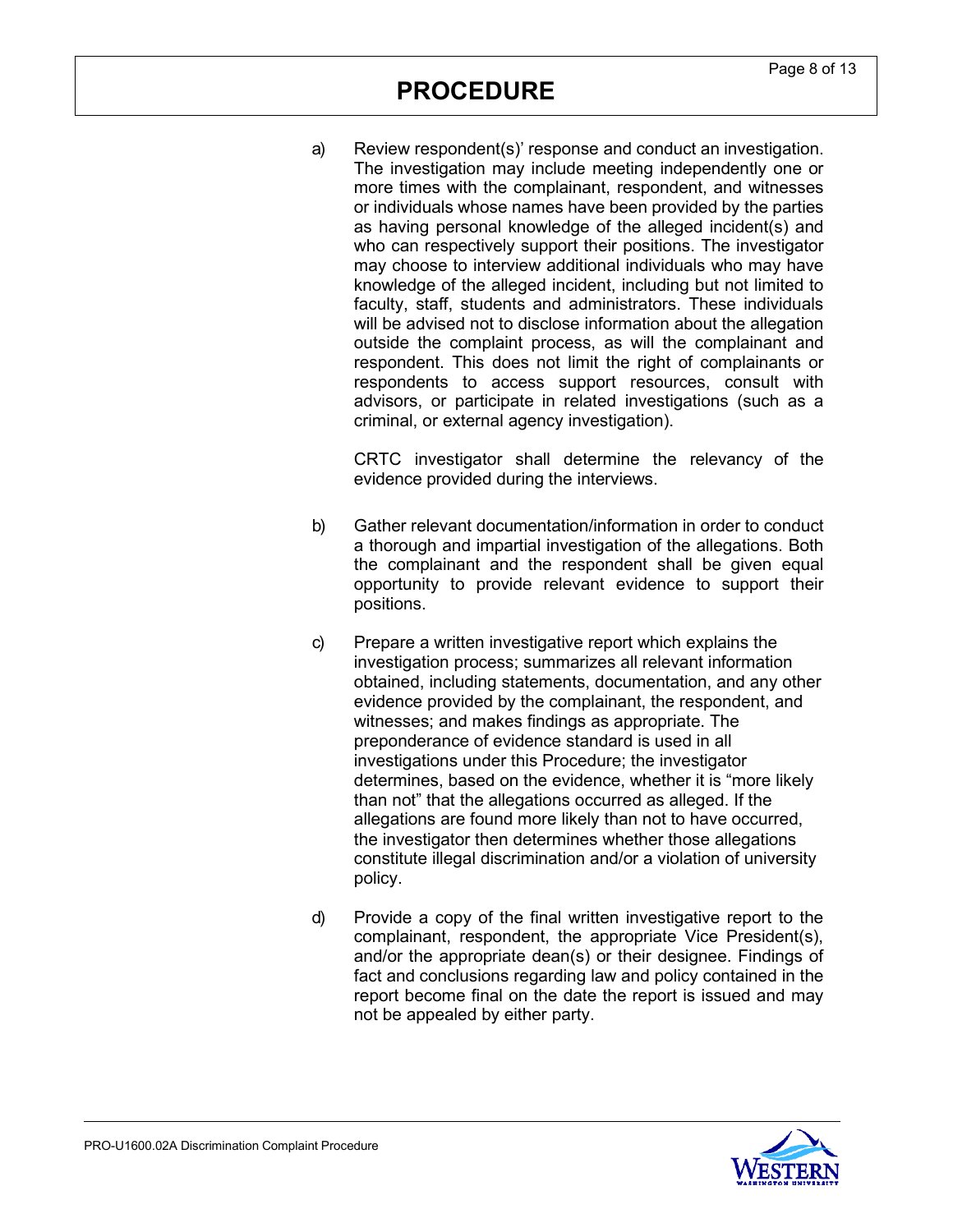a) Review respondent(s)' response and conduct an investigation. The investigation may include meeting independently one or more times with the complainant, respondent, and witnesses or individuals whose names have been provided by the parties as having personal knowledge of the alleged incident(s) and who can respectively support their positions. The investigator may choose to interview additional individuals who may have knowledge of the alleged incident, including but not limited to faculty, staff, students and administrators. These individuals will be advised not to disclose information about the allegation outside the complaint process, as will the complainant and respondent. This does not limit the right of complainants or respondents to access support resources, consult with advisors, or participate in related investigations (such as a criminal, or external agency investigation).

CRTC investigator shall determine the relevancy of the evidence provided during the interviews.

- b) Gather relevant documentation/information in order to conduct a thorough and impartial investigation of the allegations. Both the complainant and the respondent shall be given equal opportunity to provide relevant evidence to support their positions.
- c) Prepare a written investigative report which explains the investigation process; summarizes all relevant information obtained, including statements, documentation, and any other evidence provided by the complainant, the respondent, and witnesses; and makes findings as appropriate. The preponderance of evidence standard is used in all investigations under this Procedure; the investigator determines, based on the evidence, whether it is "more likely than not" that the allegations occurred as alleged. If the allegations are found more likely than not to have occurred, the investigator then determines whether those allegations constitute illegal discrimination and/or a violation of university policy.
- d) Provide a copy of the final written investigative report to the complainant, respondent, the appropriate Vice President(s), and/or the appropriate dean(s) or their designee. Findings of fact and conclusions regarding law and policy contained in the report become final on the date the report is issued and may not be appealed by either party.

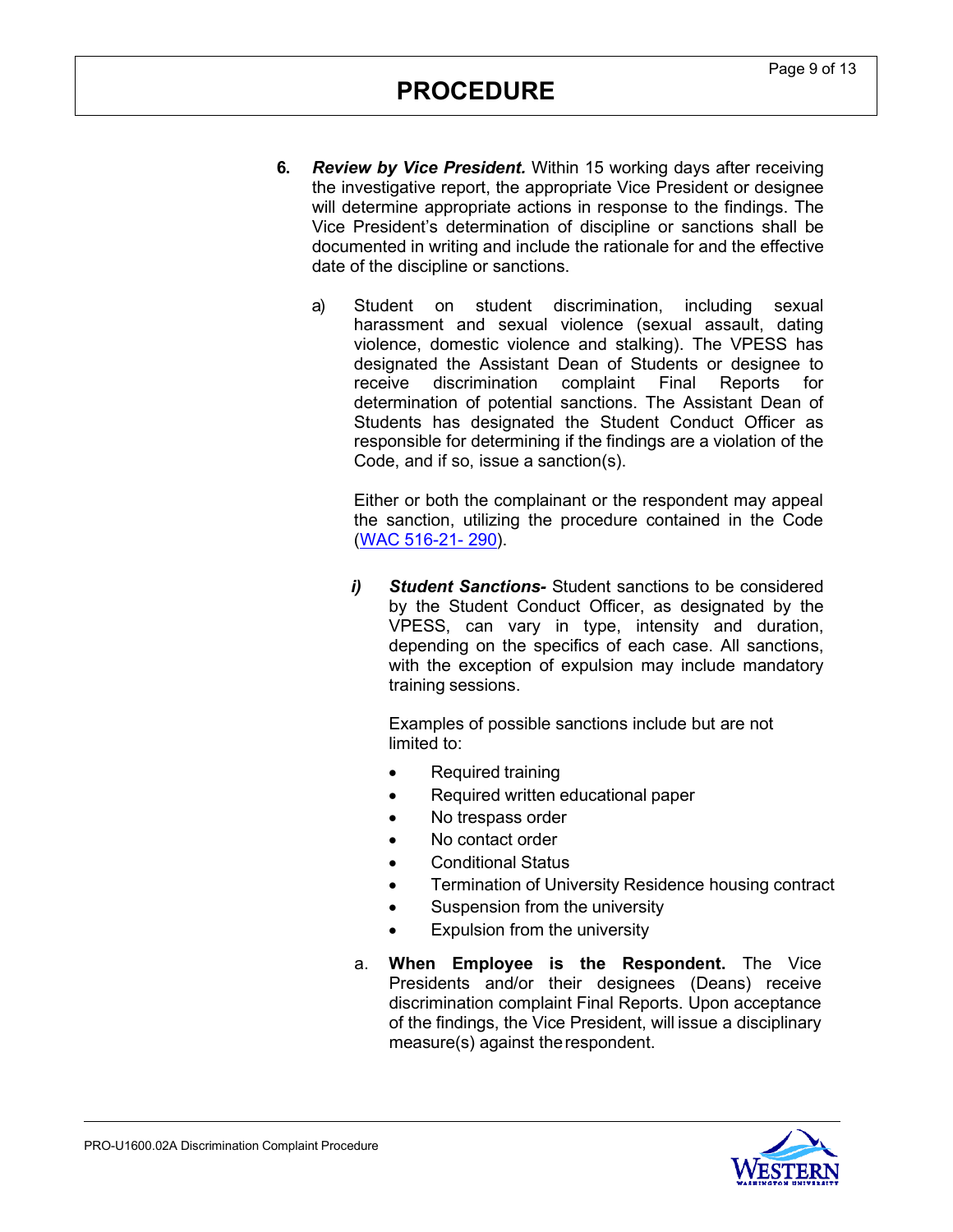- **6.** *Review by Vice President.* Within 15 working days after receiving the investigative report, the appropriate Vice President or designee will determine appropriate actions in response to the findings. The Vice President's determination of discipline or sanctions shall be documented in writing and include the rationale for and the effective date of the discipline or sanctions.
	- a) Student on student discrimination, including sexual harassment and sexual violence (sexual assault, dating violence, domestic violence and stalking). The VPESS has designated the Assistant Dean of Students or designee to receive discrimination complaint Final Reports for determination of potential sanctions. The Assistant Dean of Students has designated the Student Conduct Officer as responsible for determining if the findings are a violation of the Code, and if so, issue a sanction(s).

Either or both the complainant or the respondent may appeal the sanction, utilizing the procedure contained in the Code (WAC [516-21-](http://apps.leg.wa.gov/wac/default.aspx?cite=516-21&%3Bamp%3Bfull=true&%3Bamp%3B516-21-290) [290\)](http://apps.leg.wa.gov/wac/default.aspx?cite=516-21&%3Bamp%3Bfull=true&%3Bamp%3B516-21-290).

*i) Student Sanctions-* Student sanctions to be considered by the Student Conduct Officer, as designated by the VPESS, can vary in type, intensity and duration, depending on the specifics of each case. All sanctions, with the exception of expulsion may include mandatory training sessions.

Examples of possible sanctions include but are not limited to:

- Required training
- Required written educational paper
- No trespass order
- No contact order
- Conditional Status
- Termination of University Residence housing contract
- Suspension from the university
- Expulsion from the university
- a. **When Employee is the Respondent.** The Vice Presidents and/or their designees (Deans) receive discrimination complaint Final Reports. Upon acceptance of the findings, the Vice President, will issue a disciplinary measure(s) against therespondent.

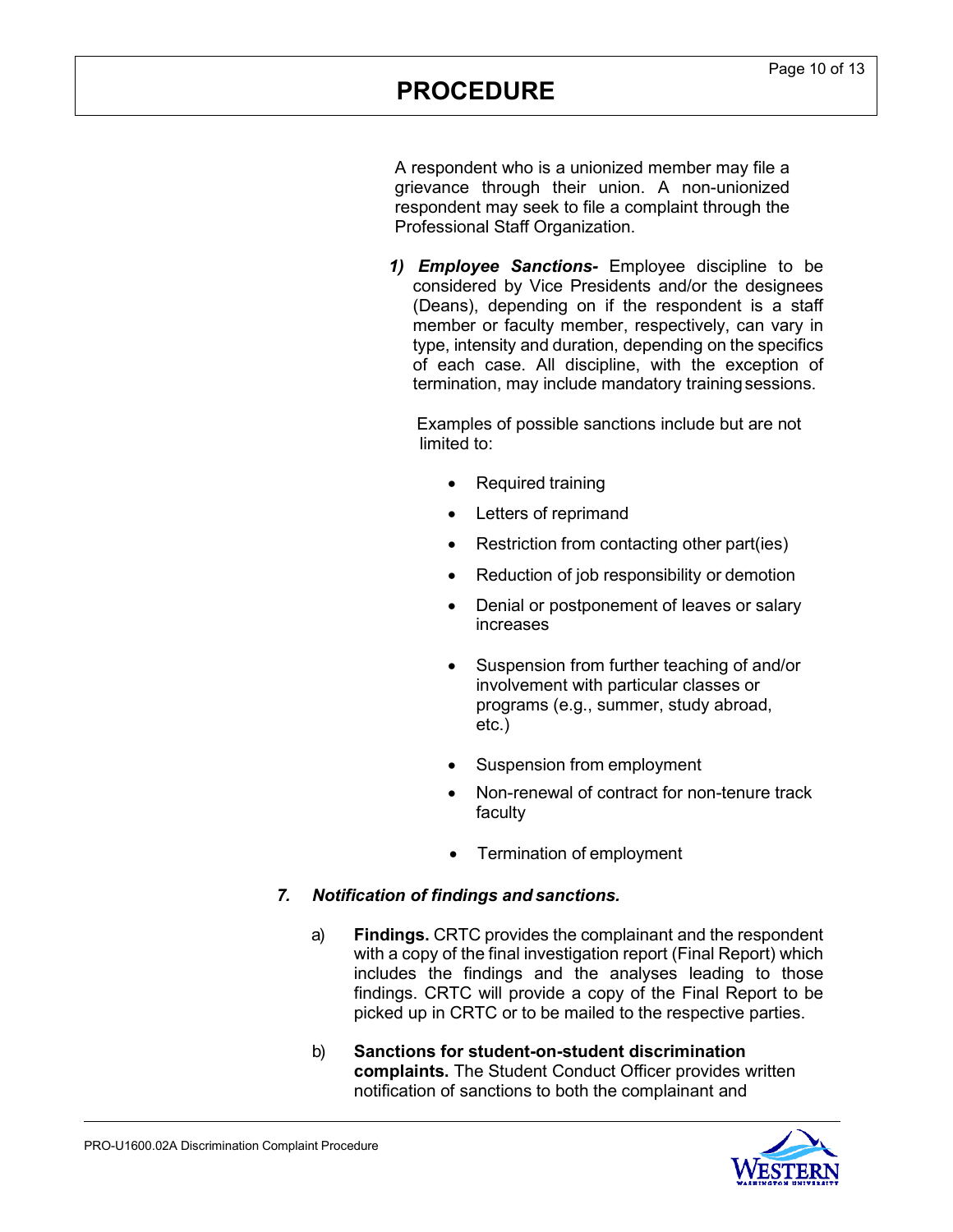A respondent who is a unionized member may file a grievance through their union. A non-unionized respondent may seek to file a complaint through the Professional Staff Organization.

*1) Employee Sanctions-* Employee discipline to be considered by Vice Presidents and/or the designees (Deans), depending on if the respondent is a staff member or faculty member, respectively, can vary in type, intensity and duration, depending on the specifics of each case. All discipline, with the exception of termination, may include mandatory training sessions.

Examples of possible sanctions include but are not limited to:

- Required training
- Letters of reprimand
- Restriction from contacting other part(ies)
- Reduction of job responsibility or demotion
- Denial or postponement of leaves or salary increases
- Suspension from further teaching of and/or involvement with particular classes or programs (e.g., summer, study abroad, etc.)
- Suspension from employment
- Non-renewal of contract for non-tenure track faculty
- Termination of employment

### *7. Notification of findings and sanctions.*

- a) **Findings.** CRTC provides the complainant and the respondent with a copy of the final investigation report (Final Report) which includes the findings and the analyses leading to those findings. CRTC will provide a copy of the Final Report to be picked up in CRTC or to be mailed to the respective parties.
- b) **Sanctions for student-on-student discrimination complaints.** The Student Conduct Officer provides written notification of sanctions to both the complainant and

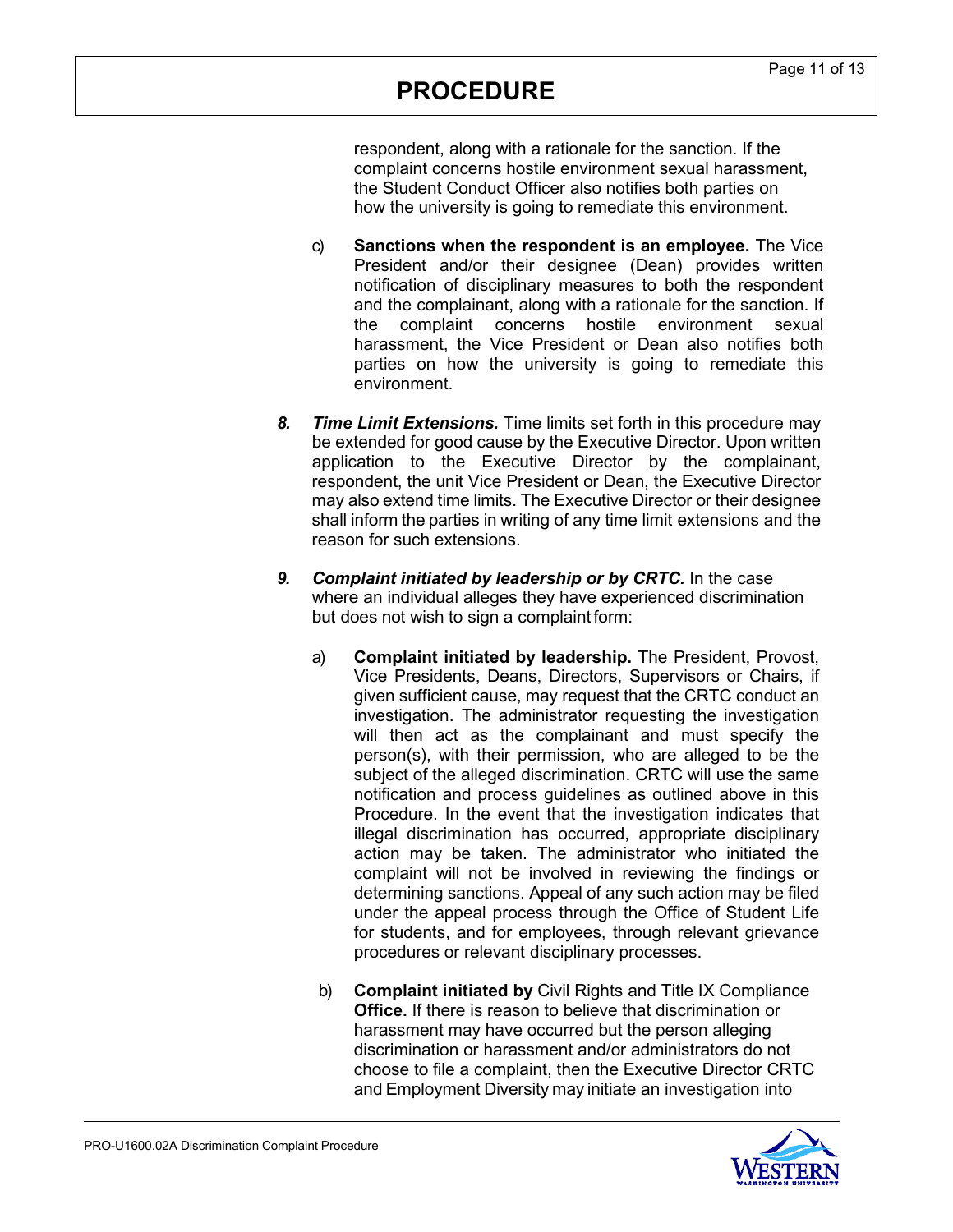respondent, along with a rationale for the sanction. If the complaint concerns hostile environment sexual harassment, the Student Conduct Officer also notifies both parties on how the university is going to remediate this environment.

- c) **Sanctions when the respondent is an employee.** The Vice President and/or their designee (Dean) provides written notification of disciplinary measures to both the respondent and the complainant, along with a rationale for the sanction. If the complaint concerns hostile environment sexual harassment, the Vice President or Dean also notifies both parties on how the university is going to remediate this environment.
- *8. Time Limit Extensions.* Time limits set forth in this procedure may be extended for good cause by the Executive Director. Upon written application to the Executive Director by the complainant, respondent, the unit Vice President or Dean, the Executive Director may also extend time limits. The Executive Director or their designee shall inform the parties in writing of any time limit extensions and the reason for such extensions.
- *9. Complaint initiated by leadership or by CRTC.* In the case where an individual alleges they have experienced discrimination but does not wish to sign a complaint form:
	- a) **Complaint initiated by leadership.** The President, Provost, Vice Presidents, Deans, Directors, Supervisors or Chairs, if given sufficient cause, may request that the CRTC conduct an investigation. The administrator requesting the investigation will then act as the complainant and must specify the person(s), with their permission, who are alleged to be the subject of the alleged discrimination. CRTC will use the same notification and process guidelines as outlined above in this Procedure. In the event that the investigation indicates that illegal discrimination has occurred, appropriate disciplinary action may be taken. The administrator who initiated the complaint will not be involved in reviewing the findings or determining sanctions. Appeal of any such action may be filed under the appeal process through the Office of Student Life for students, and for employees, through relevant grievance procedures or relevant disciplinary processes.
	- b) **Complaint initiated by** Civil Rights and Title IX Compliance **Office.** If there is reason to believe that discrimination or harassment may have occurred but the person alleging discrimination or harassment and/or administrators do not choose to file a complaint, then the Executive Director CRTC and Employment Diversity may initiate an investigation into

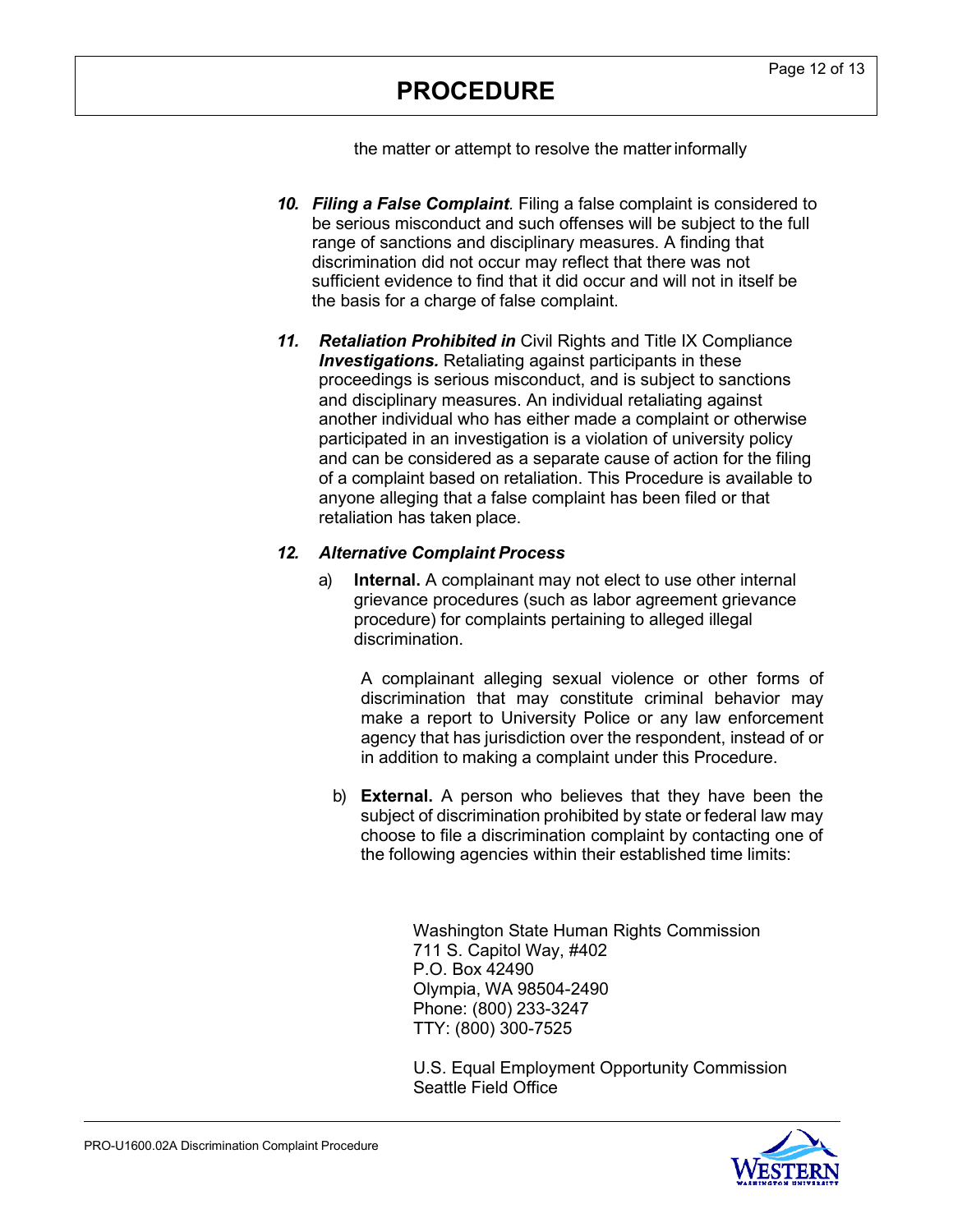the matter or attempt to resolve the matterinformally

- *10. Filing a False Complaint.* Filing a false complaint is considered to be serious misconduct and such offenses will be subject to the full range of sanctions and disciplinary measures. A finding that discrimination did not occur may reflect that there was not sufficient evidence to find that it did occur and will not in itself be the basis for a charge of false complaint.
- *11. Retaliation Prohibited in* Civil Rights and Title IX Compliance *Investigations.* Retaliating against participants in these proceedings is serious misconduct, and is subject to sanctions and disciplinary measures. An individual retaliating against another individual who has either made a complaint or otherwise participated in an investigation is a violation of university policy and can be considered as a separate cause of action for the filing of a complaint based on retaliation. This Procedure is available to anyone alleging that a false complaint has been filed or that retaliation has taken place.

## *12. Alternative Complaint Process*

a) **Internal.** A complainant may not elect to use other internal grievance procedures (such as labor agreement grievance procedure) for complaints pertaining to alleged illegal discrimination.

A complainant alleging sexual violence or other forms of discrimination that may constitute criminal behavior may make a report to University Police or any law enforcement agency that has jurisdiction over the respondent, instead of or in addition to making a complaint under this Procedure.

b) **External.** A person who believes that they have been the subject of discrimination prohibited by state or federal law may choose to file a discrimination complaint by contacting one of the following agencies within their established time limits:

> Washington State Human Rights Commission 711 S. Capitol Way, #402 P.O. Box 42490 Olympia, WA 98504-2490 Phone: (800) 233-3247 TTY: (800) 300-7525

U.S. Equal Employment Opportunity Commission Seattle Field Office